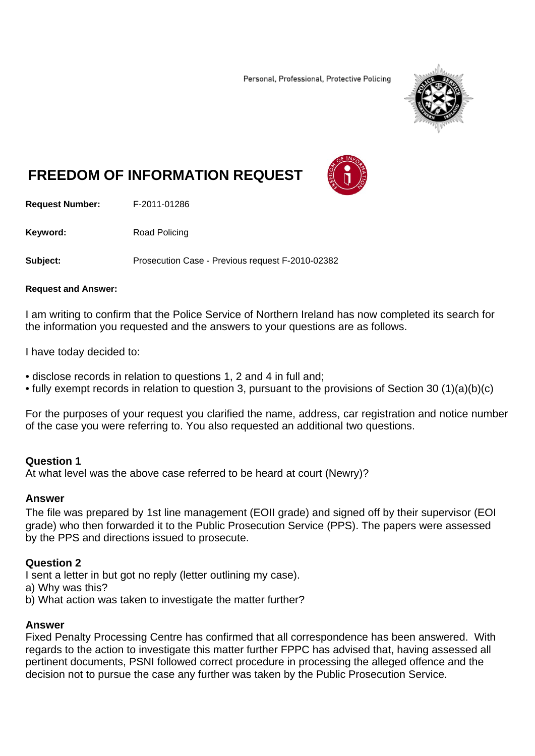Personal, Professional, Protective Policing



# **FREEDOM OF INFORMATION REQUEST**

**Request Number:** F-2011-01286

Keyword: Road Policing

**Subject:** Prosecution Case - Previous request F-2010-02382

#### **Request and Answer:**

I am writing to confirm that the Police Service of Northern Ireland has now completed its search for the information you requested and the answers to your questions are as follows.

I have today decided to:

- disclose records in relation to questions 1, 2 and 4 in full and;
- fully exempt records in relation to question 3, pursuant to the provisions of Section 30 (1)(a)(b)(c)

For the purposes of your request you clarified the name, address, car registration and notice number of the case you were referring to. You also requested an additional two questions.

# **Question 1**

At what level was the above case referred to be heard at court (Newry)?

# **Answer**

The file was prepared by 1st line management (EOII grade) and signed off by their supervisor (EOI grade) who then forwarded it to the Public Prosecution Service (PPS). The papers were assessed by the PPS and directions issued to prosecute.

# **Question 2**

I sent a letter in but got no reply (letter outlining my case).

- a) Why was this?
- b) What action was taken to investigate the matter further?

# **Answer**

Fixed Penalty Processing Centre has confirmed that all correspondence has been answered. With regards to the action to investigate this matter further FPPC has advised that, having assessed all pertinent documents, PSNI followed correct procedure in processing the alleged offence and the decision not to pursue the case any further was taken by the Public Prosecution Service.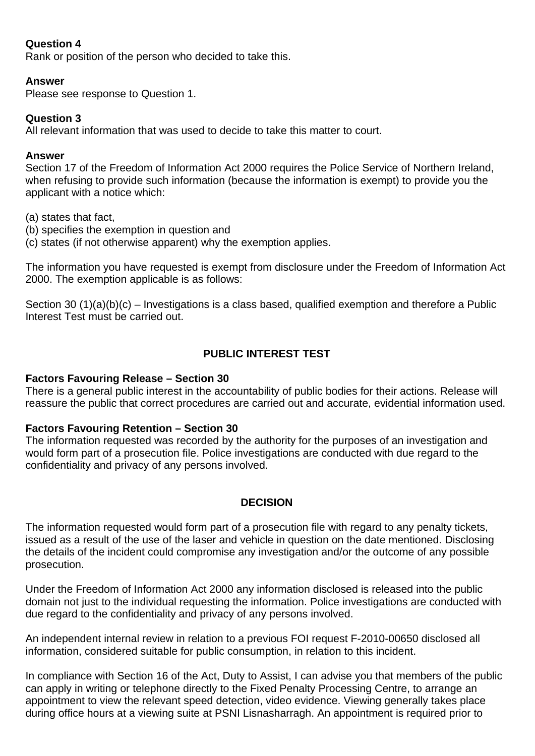# **Question 4**

Rank or position of the person who decided to take this.

### **Answer**

Please see response to Question 1.

# **Question 3**

All relevant information that was used to decide to take this matter to court.

### **Answer**

Section 17 of the Freedom of Information Act 2000 requires the Police Service of Northern Ireland, when refusing to provide such information (because the information is exempt) to provide you the applicant with a notice which:

(a) states that fact,

- (b) specifies the exemption in question and
- (c) states (if not otherwise apparent) why the exemption applies.

The information you have requested is exempt from disclosure under the Freedom of Information Act 2000. The exemption applicable is as follows:

Section 30 (1)(a)(b)(c) – Investigations is a class based, qualified exemption and therefore a Public Interest Test must be carried out.

# **PUBLIC INTEREST TEST**

# **Factors Favouring Release – Section 30**

There is a general public interest in the accountability of public bodies for their actions. Release will reassure the public that correct procedures are carried out and accurate, evidential information used.

# **Factors Favouring Retention – Section 30**

The information requested was recorded by the authority for the purposes of an investigation and would form part of a prosecution file. Police investigations are conducted with due regard to the confidentiality and privacy of any persons involved.

# **DECISION**

The information requested would form part of a prosecution file with regard to any penalty tickets, issued as a result of the use of the laser and vehicle in question on the date mentioned. Disclosing the details of the incident could compromise any investigation and/or the outcome of any possible prosecution.

Under the Freedom of Information Act 2000 any information disclosed is released into the public domain not just to the individual requesting the information. Police investigations are conducted with due regard to the confidentiality and privacy of any persons involved.

An independent internal review in relation to a previous FOI request F-2010-00650 disclosed all information, considered suitable for public consumption, in relation to this incident.

In compliance with Section 16 of the Act, Duty to Assist, I can advise you that members of the public can apply in writing or telephone directly to the Fixed Penalty Processing Centre, to arrange an appointment to view the relevant speed detection, video evidence. Viewing generally takes place during office hours at a viewing suite at PSNI Lisnasharragh. An appointment is required prior to